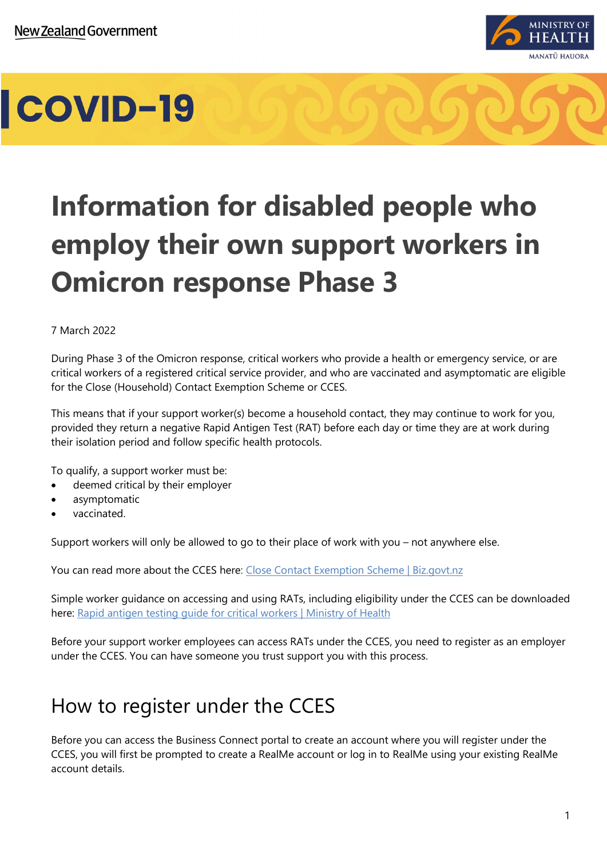

### **Information for disabled people who employ their own support workers in Omicron response Phase 3**

### 7 March 2022

During Phase 3 of the Omicron response, critical workers who provide a health or emergency service, or are critical workers of a registered critical service provider, and who are vaccinated and asymptomatic are eligible for the Close (Household) Contact Exemption Scheme or CCES.

This means that if your support worker(s) become a household contact, they may continue to work for you, provided they return a negative Rapid Antigen Test (RAT) before each day or time they are at work during their isolation period and follow specific health protocols.

To qualify, a support worker must be:

- deemed critical by their employer
- asymptomatic
- vaccinated.

Support workers will only be allowed to go to their place of work with you – not anywhere else.

You can read more about the CCES here: [Close Contact Exemption Scheme | Biz.govt.nz](https://www.business.govt.nz/covid-19/close-contact-exemption-scheme/#e-29078)

Simple worker guidance on accessing and using RATs, including eligibility under the CCES can be downloaded here: [Rapid antigen testing guide for critical workers | Ministry of Health](https://www.health.govt.nz/publication/rapid-antigen-testing-guide-critical-workers)

Before your support worker employees can access RATs under the CCES, you need to register as an employer under the CCES. You can have someone you trust support you with this process.

### How to register under the CCES

Before you can access the Business Connect portal to create an account where you will register under the CCES, you will first be prompted to create a RealMe account or log in to RealMe using your existing RealMe account details.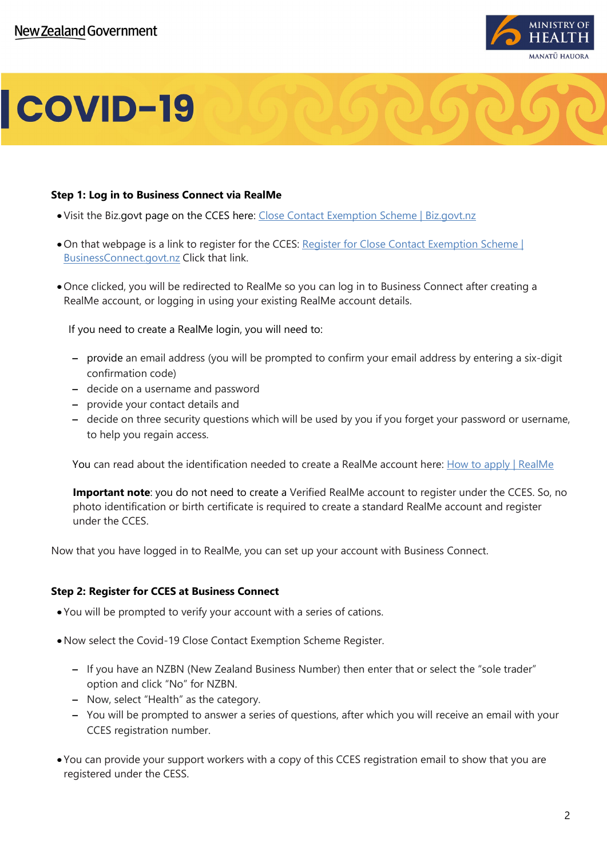

#### **Step 1: Log in to Business Connect via RealMe**

- •Visit the Biz.govt page on the CCES here: [Close Contact Exemption Scheme | Biz.govt.nz](https://www.business.govt.nz/covid-19/close-contact-exemption-scheme/#e-29078)
- •On that webpage is a link to register for the CCES: [Register for Close Contact Exemption Scheme |](https://login.realme.govt.nz/32179062-92f6-4eb0-89bc-df400a9e0367/B2C_1A_DIA_RealMe_LoginService/samlp/sso/login?SAMLRequest=lVNdb5swFH3fr0B%2BBxsnIcUKVDRRtUjpypJ0k%2FYSGXKTWgKbcU267tcPQpjah0Xrq3XPh8%2B5d3b7qyycE9SojI6I7zHigM7NXuljRJ629%2B4NuY0%2FzVCWBa9E0thnvYafDaB1EkSobYubG41NCfUG6pPK4Wm9isiztRUKSrF%2FQy9rUGlAzI3WkFvvaE7W079pVb9ARtP1uqW8ENDvkG02j3STPKzoidN%2FCRFn0YKUlvZsfpAszFFprwZZlPBXZsT9acgC7ob8ELhjyJh7E2a5uz%2BMGZMhsFEwpXd8vvOT3WKZ7NYt%2FAF2q45rsNWFUFFE00sQ597UOZwziYitm9bQchGRHfd9uZ%2Bw8VTyfSaDicwBeCizVilnfpi3Y5hKRHWCiBxkgR0QsYGlRiu1jQhnnLts5LJgy0dizIQ%2F8QL%2F5gdx0tpYk5viTum%2Bo6bWwkhUKLQsAYXNRZeb4B4TWT%2BE4vN2m7rp42ZLnG9D17zrum1fo%2Bjbvc5VXYRJ3C%2BDODuuuwxKaa9juxe1dw%2FnUQHaKvv6Tvs6XA79k%2Fi%2F10q2rdB%2BB2b0reF42OUvrc5ykZpC5a9OUhTmZd7OWxiq%2FPjHqi5atO3%2FiLNJO%2F6vjSzUQUH9gYN445zQ%2BGL%2B%2FenFfwA%3D&RelayState=2ebef133-9c73-4fca-bccf-182da49f0622&SigAlg=http%3A%2F%2Fwww.w3.org%2F2001%2F04%2Fxmldsig-more%23rsa-sha256&Signature=kWdPF6Qrl7DQmOWo7%2FZUcE6S1lgRpqPSZfAi7ui%2F9V2qXaYEf%2FHEDYTs55cdV%2BSKe2tEjz66PD%2Br0hPgo8UIAJq7G6uPiuquyvA1Uz2NGUKcXCbky4KCwfjNdurT6KnEz7MWCAZdQ%2BKQGPnXoa%2FrbceL8YnnZnz1h0lER7HsD7AahoMiJYzeMSGipniOSdOanov%2ByptSzcoKtxm4IXHc9MmxjNPiO%2FJpqydTsVlW0yBIybGLG1G2kclBrjGT%2B%2FwaJ4WT3KAGROgDATiFj3iSLO6YVo%2BmruM%2B7ZmwC8YTP2kJjgvZN64PpkYWqrQ2oSCT0G4iHg5nzQc5r7j8VkzH1Q%3D%3D)  [BusinessConnect.govt.nz](https://login.realme.govt.nz/32179062-92f6-4eb0-89bc-df400a9e0367/B2C_1A_DIA_RealMe_LoginService/samlp/sso/login?SAMLRequest=lVNdb5swFH3fr0B%2BBxsnIcUKVDRRtUjpypJ0k%2FYSGXKTWgKbcU267tcPQpjah0Xrq3XPh8%2B5d3b7qyycE9SojI6I7zHigM7NXuljRJ629%2B4NuY0%2FzVCWBa9E0thnvYafDaB1EkSobYubG41NCfUG6pPK4Wm9isiztRUKSrF%2FQy9rUGlAzI3WkFvvaE7W079pVb9ARtP1uqW8ENDvkG02j3STPKzoidN%2FCRFn0YKUlvZsfpAszFFprwZZlPBXZsT9acgC7ob8ELhjyJh7E2a5uz%2BMGZMhsFEwpXd8vvOT3WKZ7NYt%2FAF2q45rsNWFUFFE00sQ597UOZwziYitm9bQchGRHfd9uZ%2Bw8VTyfSaDicwBeCizVilnfpi3Y5hKRHWCiBxkgR0QsYGlRiu1jQhnnLts5LJgy0dizIQ%2F8QL%2F5gdx0tpYk5viTum%2Bo6bWwkhUKLQsAYXNRZeb4B4TWT%2BE4vN2m7rp42ZLnG9D17zrum1fo%2Bjbvc5VXYRJ3C%2BDODuuuwxKaa9juxe1dw%2FnUQHaKvv6Tvs6XA79k%2Fi%2F10q2rdB%2BB2b0reF42OUvrc5ykZpC5a9OUhTmZd7OWxiq%2FPjHqi5atO3%2FiLNJO%2F6vjSzUQUH9gYN445zQ%2BGL%2B%2FenFfwA%3D&RelayState=2ebef133-9c73-4fca-bccf-182da49f0622&SigAlg=http%3A%2F%2Fwww.w3.org%2F2001%2F04%2Fxmldsig-more%23rsa-sha256&Signature=kWdPF6Qrl7DQmOWo7%2FZUcE6S1lgRpqPSZfAi7ui%2F9V2qXaYEf%2FHEDYTs55cdV%2BSKe2tEjz66PD%2Br0hPgo8UIAJq7G6uPiuquyvA1Uz2NGUKcXCbky4KCwfjNdurT6KnEz7MWCAZdQ%2BKQGPnXoa%2FrbceL8YnnZnz1h0lER7HsD7AahoMiJYzeMSGipniOSdOanov%2ByptSzcoKtxm4IXHc9MmxjNPiO%2FJpqydTsVlW0yBIybGLG1G2kclBrjGT%2B%2FwaJ4WT3KAGROgDATiFj3iSLO6YVo%2BmruM%2B7ZmwC8YTP2kJjgvZN64PpkYWqrQ2oSCT0G4iHg5nzQc5r7j8VkzH1Q%3D%3D) Click that link.
- •Once clicked, you will be redirected to RealMe so you can log in to Business Connect after creating a RealMe account, or logging in using your existing RealMe account details.

If you need to create a RealMe login, you will need to:

- provide an email address (you will be prompted to confirm your email address by entering a six-digit confirmation code)
- decide on a username and password
- provide your contact details and
- decide on three security questions which will be used by you if you forget your password or username, to help you regain access.

You can read about the identification needed to create a RealMe account here: [How to apply | RealMe](https://www.realme.govt.nz/how-apply/)

**Important note**: you do not need to create a Verified RealMe account to register under the CCES. So, no photo identification or birth certificate is required to create a standard RealMe account and register under the CCES.

Now that you have logged in to RealMe, you can set up your account with Business Connect.

### **Step 2: Register for CCES at Business Connect**

- You will be prompted to verify your account with a series of cations.
- •Now select the Covid-19 Close Contact Exemption Scheme Register.
	- If you have an NZBN (New Zealand Business Number) then enter that or select the "sole trader" option and click "No" for NZBN.
	- Now, select "Health" as the category.
	- You will be prompted to answer a series of questions, after which you will receive an email with your CCES registration number.
- You can provide your support workers with a copy of this CCES registration email to show that you are registered under the CESS.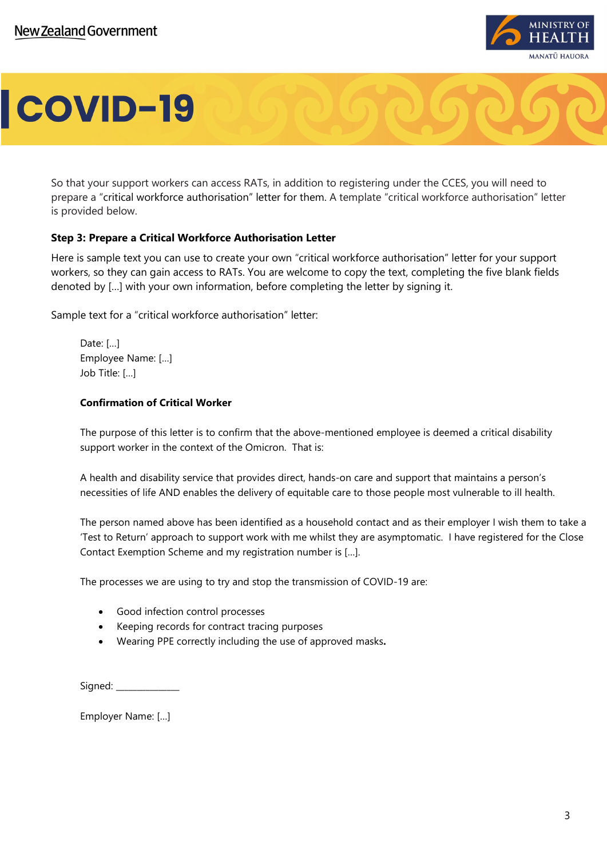

So that your support workers can access RATs, in addition to registering under the CCES, you will need to prepare a "critical workforce authorisation" letter for them. A template "critical workforce authorisation" letter is provided below.

### **Step 3: Prepare a Critical Workforce Authorisation Letter**

Here is sample text you can use to create your own "critical workforce authorisation" letter for your support workers, so they can gain access to RATs. You are welcome to copy the text, completing the five blank fields denoted by […] with your own information, before completing the letter by signing it.

Sample text for a "critical workforce authorisation" letter:

Date: […] Employee Name: […] Job Title: […]

#### **Confirmation of Critical Worker**

The purpose of this letter is to confirm that the above-mentioned employee is deemed a critical disability support worker in the context of the Omicron. That is:

A health and disability service that provides direct, hands-on care and support that maintains a person's necessities of life AND enables the delivery of equitable care to those people most vulnerable to ill health.

The person named above has been identified as a household contact and as their employer I wish them to take a 'Test to Return' approach to support work with me whilst they are asymptomatic. I have registered for the Close Contact Exemption Scheme and my registration number is […].

The processes we are using to try and stop the transmission of COVID-19 are:

- Good infection control processes
- Keeping records for contract tracing purposes
- Wearing PPE correctly including the use of approved masks**.**

Signed:

Employer Name: […]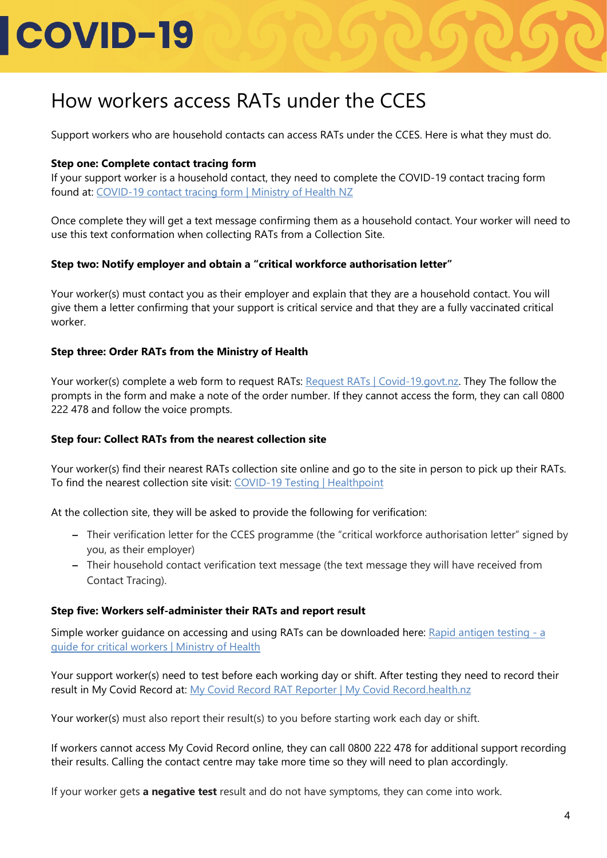### How workers access RATs under the CCES

Support workers who are household contacts can access RATs under the CCES. Here is what they must do.

### **Step one: Complete contact tracing form**

If your support worker is a household contact, they need to complete the COVID-19 contact tracing form found at: [COVID-19 contact tracing form | Ministry of Health NZ](https://www.health.govt.nz/covid-19-novel-coronavirus/covid-19-resources-and-tools/covid-19-contact-tracing-form)

Once complete they will get a text message confirming them as a household contact. Your worker will need to use this text conformation when collecting RATs from a Collection Site.

### **Step two: Notify employer and obtain a "critical workforce authorisation letter"**

Your worker(s) must contact you as their employer and explain that they are a household contact. You will give them a letter confirming that your support is critical service and that they are a fully vaccinated critical worker.

### **Step three: Order RATs from the Ministry of Health**

Your worker(s) complete a web form to request RATs: [Request RATs | Covid-19.govt.nz.](https://requestrats.covid19.health.nz/) They The follow the prompts in the form and make a note of the order number. If they cannot access the form, they can call 0800 222 478 and follow the voice prompts.

#### **Step four: Collect RATs from the nearest collection site**

Your worker(s) find their nearest RATs collection site online and go to the site in person to pick up their RATs. To find the nearest collection site visit: [COVID-19 Testing |](https://www.healthpoint.co.nz/covid-19/?covidTesting=rats) Healthpoint

At the collection site, they will be asked to provide the following for verification:

- Their verification letter for the CCES programme (the "critical workforce authorisation letter" signed by you, as their employer)
- Their household contact verification text message (the text message they will have received from Contact Tracing).

#### **Step five: Workers self-administer their RATs and report result**

Simple worker guidance on accessing and using RATs can be downloaded here: [Rapid antigen testing -](https://www.health.govt.nz/publication/rapid-antigen-testing-guide-critical-workers) a [guide for critical workers | Ministry of Health](https://www.health.govt.nz/publication/rapid-antigen-testing-guide-critical-workers)

Your support worker(s) need to test before each working day or shift. After testing they need to record their result in My Covid Record at: [My Covid Record RAT Reporter | My Covid Record.health.nz](https://mycovidrecord.health.nz/rat-reporter)

Your worker(s) must also report their result(s) to you before starting work each day or shift.

If workers cannot access My Covid Record online, they can call 0800 222 478 for additional support recording their results. Calling the contact centre may take more time so they will need to plan accordingly.

If your worker gets **a negative test** result and do not have symptoms, they can come into work.